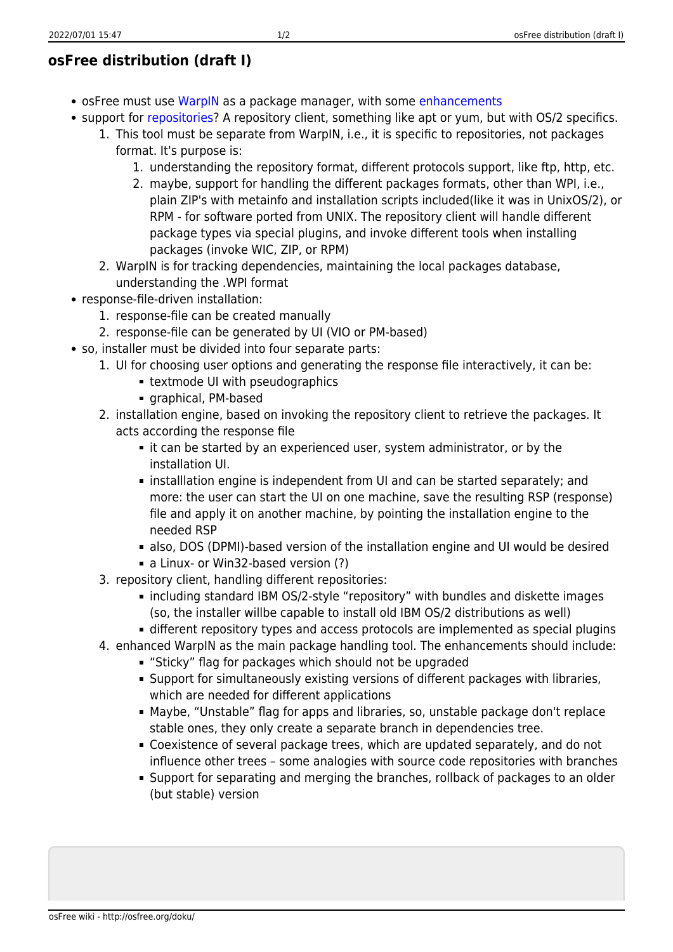## **osFree distribution (draft I)**

- osFree must use [WarpIN](http://osfree.org/doku/en:docs:warpin) as a package manager, with some [enhancements](http://osfree.org/doku/en:docs:enhancements)
- support for [repositories?](http://osfree.org/doku/en:docs:repositories) A repository client, something like apt or yum, but with OS/2 specifics.
	- 1. This tool must be separate from WarpIN, i.e., it is specific to repositories, not packages format. It's purpose is:
		- 1. understanding the repository format, different protocols support, like ftp, http, etc.
		- 2. maybe, support for handling the different packages formats, other than WPI, i.e., plain ZIP's with metainfo and installation scripts included(like it was in UnixOS/2), or RPM - for software ported from UNIX. The repository client will handle different package types via special plugins, and invoke different tools when installing packages (invoke WIC, ZIP, or RPM)
		- 2. WarpIN is for tracking dependencies, maintaining the local packages database, understanding the .WPI format
- response-file-driven installation:
	- 1. response-file can be created manually
	- 2. response-file can be generated by UI (VIO or PM-based)
- so, installer must be divided into four separate parts:
	- 1. UI for choosing user options and generating the response file interactively, it can be:
		- **Extmode UI with pseudographics**
		- graphical, PM-based
	- 2. installation engine, based on invoking the repository client to retrieve the packages. It acts according the response file
		- it can be started by an experienced user, system administrator, or by the installation UI.
		- installlation engine is independent from UI and can be started separately; and more: the user can start the UI on one machine, save the resulting RSP (response) file and apply it on another machine, by pointing the installation engine to the needed RSP
		- also, DOS (DPMI)-based version of the installation engine and UI would be desired
		- **a** Linux- or Win32-based version (?)
	- 3. repository client, handling different repositories:
		- including standard IBM OS/2-style "repository" with bundles and diskette images (so, the installer willbe capable to install old IBM OS/2 distributions as well)
		- different repository types and access protocols are implemented as special plugins
	- 4. enhanced WarpIN as the main package handling tool. The enhancements should include:
		- "Sticky" flag for packages which should not be upgraded
		- Support for simultaneously existing versions of different packages with libraries, which are needed for different applications
		- Maybe, "Unstable" flag for apps and libraries, so, unstable package don't replace stable ones, they only create a separate branch in dependencies tree.
		- Coexistence of several package trees, which are updated separately, and do not influence other trees – some analogies with source code repositories with branches
		- Support for separating and merging the branches, rollback of packages to an older (but stable) version